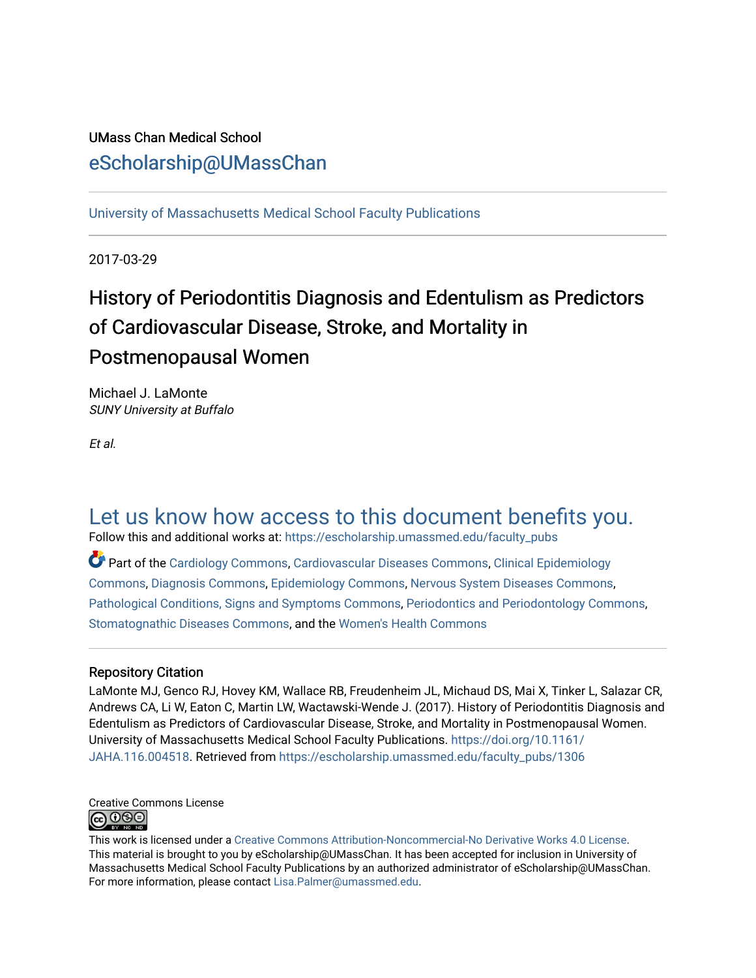# UMass Chan Medical School [eScholarship@UMassChan](https://escholarship.umassmed.edu/)

[University of Massachusetts Medical School Faculty Publications](https://escholarship.umassmed.edu/faculty_pubs)

2017-03-29

# History of Periodontitis Diagnosis and Edentulism as Predictors of Cardiovascular Disease, Stroke, and Mortality in Postmenopausal Women

Michael J. LaMonte SUNY University at Buffalo

Et al.

# [Let us know how access to this document benefits you.](https://arcsapps.umassmed.edu/redcap/surveys/?s=XWRHNF9EJE)

Follow this and additional works at: [https://escholarship.umassmed.edu/faculty\\_pubs](https://escholarship.umassmed.edu/faculty_pubs?utm_source=escholarship.umassmed.edu%2Ffaculty_pubs%2F1306&utm_medium=PDF&utm_campaign=PDFCoverPages) 

Part of the [Cardiology Commons](http://network.bepress.com/hgg/discipline/683?utm_source=escholarship.umassmed.edu%2Ffaculty_pubs%2F1306&utm_medium=PDF&utm_campaign=PDFCoverPages), [Cardiovascular Diseases Commons,](http://network.bepress.com/hgg/discipline/929?utm_source=escholarship.umassmed.edu%2Ffaculty_pubs%2F1306&utm_medium=PDF&utm_campaign=PDFCoverPages) [Clinical Epidemiology](http://network.bepress.com/hgg/discipline/815?utm_source=escholarship.umassmed.edu%2Ffaculty_pubs%2F1306&utm_medium=PDF&utm_campaign=PDFCoverPages)  [Commons](http://network.bepress.com/hgg/discipline/815?utm_source=escholarship.umassmed.edu%2Ffaculty_pubs%2F1306&utm_medium=PDF&utm_campaign=PDFCoverPages), [Diagnosis Commons](http://network.bepress.com/hgg/discipline/945?utm_source=escholarship.umassmed.edu%2Ffaculty_pubs%2F1306&utm_medium=PDF&utm_campaign=PDFCoverPages), [Epidemiology Commons](http://network.bepress.com/hgg/discipline/740?utm_source=escholarship.umassmed.edu%2Ffaculty_pubs%2F1306&utm_medium=PDF&utm_campaign=PDFCoverPages), [Nervous System Diseases Commons,](http://network.bepress.com/hgg/discipline/928?utm_source=escholarship.umassmed.edu%2Ffaculty_pubs%2F1306&utm_medium=PDF&utm_campaign=PDFCoverPages) [Pathological Conditions, Signs and Symptoms Commons,](http://network.bepress.com/hgg/discipline/1004?utm_source=escholarship.umassmed.edu%2Ffaculty_pubs%2F1306&utm_medium=PDF&utm_campaign=PDFCoverPages) [Periodontics and Periodontology Commons,](http://network.bepress.com/hgg/discipline/659?utm_source=escholarship.umassmed.edu%2Ffaculty_pubs%2F1306&utm_medium=PDF&utm_campaign=PDFCoverPages) [Stomatognathic Diseases Commons](http://network.bepress.com/hgg/discipline/995?utm_source=escholarship.umassmed.edu%2Ffaculty_pubs%2F1306&utm_medium=PDF&utm_campaign=PDFCoverPages), and the [Women's Health Commons](http://network.bepress.com/hgg/discipline/1241?utm_source=escholarship.umassmed.edu%2Ffaculty_pubs%2F1306&utm_medium=PDF&utm_campaign=PDFCoverPages) 

### Repository Citation

LaMonte MJ, Genco RJ, Hovey KM, Wallace RB, Freudenheim JL, Michaud DS, Mai X, Tinker L, Salazar CR, Andrews CA, Li W, Eaton C, Martin LW, Wactawski-Wende J. (2017). History of Periodontitis Diagnosis and Edentulism as Predictors of Cardiovascular Disease, Stroke, and Mortality in Postmenopausal Women. University of Massachusetts Medical School Faculty Publications. [https://doi.org/10.1161/](https://doi.org/10.1161/JAHA.116.004518) [JAHA.116.004518](https://doi.org/10.1161/JAHA.116.004518). Retrieved from [https://escholarship.umassmed.edu/faculty\\_pubs/1306](https://escholarship.umassmed.edu/faculty_pubs/1306?utm_source=escholarship.umassmed.edu%2Ffaculty_pubs%2F1306&utm_medium=PDF&utm_campaign=PDFCoverPages) 



This work is licensed under a [Creative Commons Attribution-Noncommercial-No Derivative Works 4.0 License.](http://creativecommons.org/licenses/by-nc-nd/4.0/) This material is brought to you by eScholarship@UMassChan. It has been accepted for inclusion in University of Massachusetts Medical School Faculty Publications by an authorized administrator of eScholarship@UMassChan. For more information, please contact [Lisa.Palmer@umassmed.edu](mailto:Lisa.Palmer@umassmed.edu).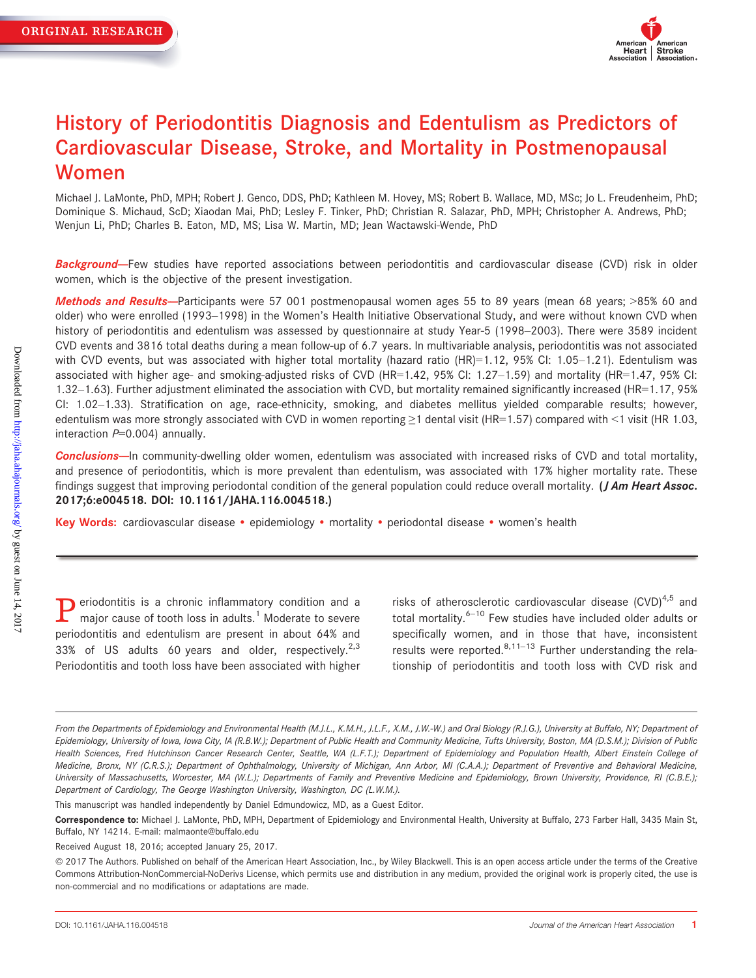

# History of Periodontitis Diagnosis and Edentulism as Predictors of Cardiovascular Disease, Stroke, and Mortality in Postmenopausal Women

Michael J. LaMonte, PhD, MPH; Robert J. Genco, DDS, PhD; Kathleen M. Hovey, MS; Robert B. Wallace, MD, MSc; Jo L. Freudenheim, PhD; Dominique S. Michaud, ScD; Xiaodan Mai, PhD; Lesley F. Tinker, PhD; Christian R. Salazar, PhD, MPH; Christopher A. Andrews, PhD; Wenjun Li, PhD; Charles B. Eaton, MD, MS; Lisa W. Martin, MD; Jean Wactawski-Wende, PhD

Background-Few studies have reported associations between periodontitis and cardiovascular disease (CVD) risk in older women, which is the objective of the present investigation.

Methods and Results--Participants were 57 001 postmenopausal women ages 55 to 89 years (mean 68 years; >85% 60 and older) who were enrolled (1993–1998) in the Women's Health Initiative Observational Study, and were without known CVD when history of periodontitis and edentulism was assessed by questionnaire at study Year-5 (1998–2003). There were 3589 incident CVD events and 3816 total deaths during a mean follow-up of 6.7 years. In multivariable analysis, periodontitis was not associated with CVD events, but was associated with higher total mortality (hazard ratio (HR)=1.12, 95% CI: 1.05–1.21). Edentulism was associated with higher age- and smoking-adjusted risks of CVD (HR=1.42, 95% CI: 1.27–1.59) and mortality (HR=1.47, 95% CI: 1.32–1.63). Further adjustment eliminated the association with CVD, but mortality remained significantly increased (HR=1.17, 95% CI: 1.02–1.33). Stratification on age, race-ethnicity, smoking, and diabetes mellitus yielded comparable results; however, edentulism was more strongly associated with CVD in women reporting  $\geq$ 1 dental visit (HR=1.57) compared with <1 visit (HR 1.03, interaction  $P=0.004$ ) annually.

Conclusions-In community-dwelling older women, edentulism was associated with increased risks of CVD and total mortality, and presence of periodontitis, which is more prevalent than edentulism, was associated with 17% higher mortality rate. These findings suggest that improving periodontal condition of the general population could reduce overall mortality. (*J Am Heart Assoc*. 2017;6:e004518. DOI: [10.1161/JAHA.116.004518](info:doi/10.1161/JAHA.116.004518).)

Key Words: cardiovascular disease • epidemiology • mortality • periodontal disease • women's health

**P**eriodontitis is a chronic inflammatory condition and a major cause of tooth loss in adults.<sup>1</sup> Moderate to severe periodontitis and edentulism are present in about 64% and 33% of US adults 60 years and older, respectively.<sup>2,3</sup> Periodontitis and tooth loss have been associated with higher risks of atherosclerotic cardiovascular disease  $(CVD)^{4,5}$  and total mortality. $6-10$  Few studies have included older adults or specifically women, and in those that have, inconsistent results were reported. $8,11-13$  Further understanding the relationship of periodontitis and tooth loss with CVD risk and

This manuscript was handled independently by Daniel Edmundowicz, MD, as a Guest Editor.

From the Departments of Epidemiology and Environmental Health (M.J.L., K.M.H., J.L.F., X.M., J.W.-W.) and Oral Biology (R.J.G.), University at Buffalo, NY; Department of Epidemiology, University of Iowa, Iowa City, IA (R.B.W.); Department of Public Health and Community Medicine, Tufts University, Boston, MA (D.S.M.); Division of Public Health Sciences, Fred Hutchinson Cancer Research Center, Seattle, WA (L.F.T.); Department of Epidemiology and Population Health, Albert Einstein College of Medicine, Bronx, NY (C.R.S.); Department of Ophthalmology, University of Michigan, Ann Arbor, MI (C.A.A.); Department of Preventive and Behavioral Medicine, University of Massachusetts, Worcester, MA (W.L.); Departments of Family and Preventive Medicine and Epidemiology, Brown University, Providence, RI (C.B.E.); Department of Cardiology, The George Washington University, Washington, DC (L.W.M.).

Correspondence to: Michael J. LaMonte, PhD, MPH, Department of Epidemiology and Environmental Health, University at Buffalo, 273 Farber Hall, 3435 Main St, Buffalo, NY 14214. E-mail: malmaonte@buffalo.edu

Received August 18, 2016; accepted January 25, 2017.

ª 2017 The Authors. Published on behalf of the American Heart Association, Inc., by Wiley Blackwell. This is an open access article under the terms of the [Creative](http://creativecommons.org/licenses/by-nc-nd/4.0/) [Commons Attribution-NonCommercial-NoDerivs](http://creativecommons.org/licenses/by-nc-nd/4.0/) License, which permits use and distribution in any medium, provided the original work is properly cited, the use is non-commercial and no modifications or adaptations are made.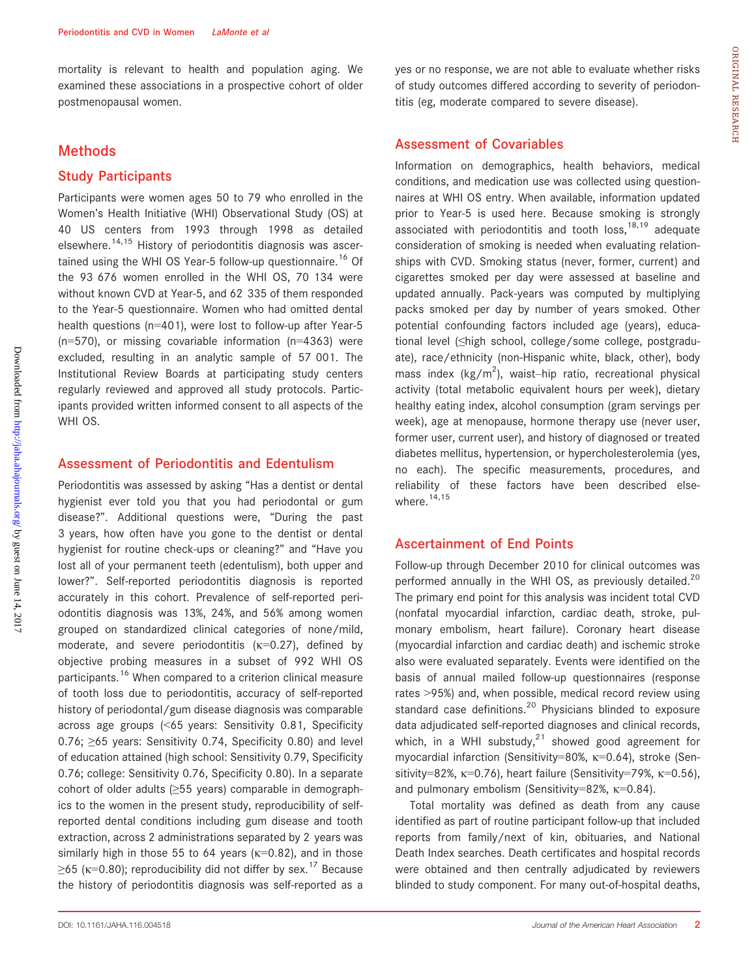mortality is relevant to health and population aging. We examined these associations in a prospective cohort of older postmenopausal women.

# Methods

# Study Participants

Participants were women ages 50 to 79 who enrolled in the Women's Health Initiative (WHI) Observational Study (OS) at 40 US centers from 1993 through 1998 as detailed elsewhere.<sup>14,15</sup> History of periodontitis diagnosis was ascertained using the WHI OS Year-5 follow-up questionnaire.<sup>16</sup> Of the 93 676 women enrolled in the WHI OS, 70 134 were without known CVD at Year-5, and 62 335 of them responded to the Year-5 questionnaire. Women who had omitted dental health questions (n=401), were lost to follow-up after Year-5 (n=570), or missing covariable information (n=4363) were excluded, resulting in an analytic sample of 57 001. The Institutional Review Boards at participating study centers regularly reviewed and approved all study protocols. Participants provided written informed consent to all aspects of the WHI OS.

#### Assessment of Periodontitis and Edentulism

Periodontitis was assessed by asking "Has a dentist or dental hygienist ever told you that you had periodontal or gum disease?". Additional questions were, "During the past 3 years, how often have you gone to the dentist or dental hygienist for routine check-ups or cleaning?" and "Have you lost all of your permanent teeth (edentulism), both upper and lower?". Self-reported periodontitis diagnosis is reported accurately in this cohort. Prevalence of self-reported periodontitis diagnosis was 13%, 24%, and 56% among women grouped on standardized clinical categories of none/mild, moderate, and severe periodontitis ( $\kappa$ =0.27), defined by objective probing measures in a subset of 992 WHI OS participants.<sup>16</sup> When compared to a criterion clinical measure of tooth loss due to periodontitis, accuracy of self-reported history of periodontal/gum disease diagnosis was comparable across age groups (<65 years: Sensitivity 0.81, Specificity 0.76; ≥65 years: Sensitivity 0.74, Specificity 0.80) and level of education attained (high school: Sensitivity 0.79, Specificity 0.76; college: Sensitivity 0.76, Specificity 0.80). In a separate cohort of older adults (≥55 years) comparable in demographics to the women in the present study, reproducibility of selfreported dental conditions including gum disease and tooth extraction, across 2 administrations separated by 2 years was similarly high in those 55 to 64 years ( $\kappa$ =0.82), and in those  $\geq$ 65 ( $\kappa$ =0.80); reproducibility did not differ by sex.<sup>17</sup> Because the history of periodontitis diagnosis was self-reported as a

yes or no response, we are not able to evaluate whether risks of study outcomes differed according to severity of periodontitis (eg, moderate compared to severe disease).

#### Assessment of Covariables

Information on demographics, health behaviors, medical conditions, and medication use was collected using questionnaires at WHI OS entry. When available, information updated prior to Year-5 is used here. Because smoking is strongly associated with periodontitis and tooth  $loss$ ,  $18,19$  adequate consideration of smoking is needed when evaluating relationships with CVD. Smoking status (never, former, current) and cigarettes smoked per day were assessed at baseline and updated annually. Pack-years was computed by multiplying packs smoked per day by number of years smoked. Other potential confounding factors included age (years), educational level (≤high school, college/some college, postgraduate), race/ethnicity (non-Hispanic white, black, other), body mass index (kg/m<sup>2</sup>), waist-hip ratio, recreational physical activity (total metabolic equivalent hours per week), dietary healthy eating index, alcohol consumption (gram servings per week), age at menopause, hormone therapy use (never user, former user, current user), and history of diagnosed or treated diabetes mellitus, hypertension, or hypercholesterolemia (yes, no each). The specific measurements, procedures, and reliability of these factors have been described elsewhere. $14,15$ 

### Ascertainment of End Points

Follow-up through December 2010 for clinical outcomes was performed annually in the WHI OS, as previously detailed.<sup>20</sup> The primary end point for this analysis was incident total CVD (nonfatal myocardial infarction, cardiac death, stroke, pulmonary embolism, heart failure). Coronary heart disease (myocardial infarction and cardiac death) and ischemic stroke also were evaluated separately. Events were identified on the basis of annual mailed follow-up questionnaires (response rates >95%) and, when possible, medical record review using standard case definitions.<sup>20</sup> Physicians blinded to exposure data adjudicated self-reported diagnoses and clinical records, which, in a WHI substudy,  $2^1$  showed good agreement for myocardial infarction (Sensitivity=80%,  $\kappa$ =0.64), stroke (Sensitivity=82%,  $\kappa$ =0.76), heart failure (Sensitivity=79%,  $\kappa$ =0.56), and pulmonary embolism (Sensitivity=82%,  $\kappa$ =0.84).

Total mortality was defined as death from any cause identified as part of routine participant follow-up that included reports from family/next of kin, obituaries, and National Death Index searches. Death certificates and hospital records were obtained and then centrally adjudicated by reviewers blinded to study component. For many out-of-hospital deaths,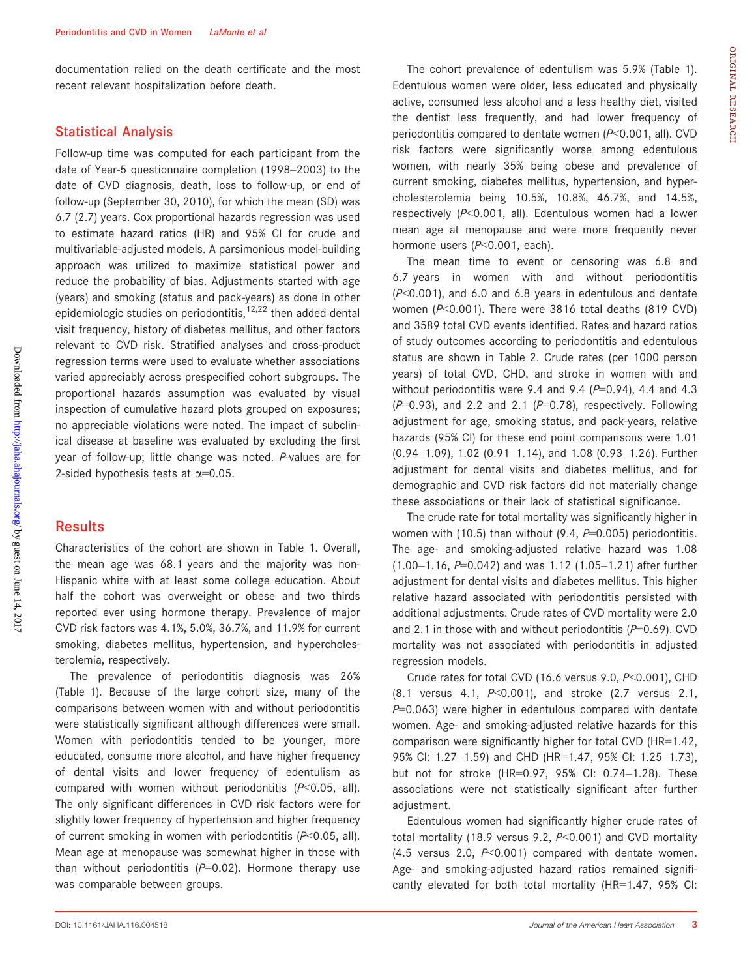documentation relied on the death certificate and the most recent relevant hospitalization before death.

#### Statistical Analysis

Follow-up time was computed for each participant from the date of Year-5 questionnaire completion (1998–2003) to the date of CVD diagnosis, death, loss to follow-up, or end of follow-up (September 30, 2010), for which the mean (SD) was 6.7 (2.7) years. Cox proportional hazards regression was used to estimate hazard ratios (HR) and 95% CI for crude and multivariable-adjusted models. A parsimonious model-building approach was utilized to maximize statistical power and reduce the probability of bias. Adjustments started with age (years) and smoking (status and pack-years) as done in other epidemiologic studies on periodontitis,  $12,22$  then added dental visit frequency, history of diabetes mellitus, and other factors relevant to CVD risk. Stratified analyses and cross-product regression terms were used to evaluate whether associations varied appreciably across prespecified cohort subgroups. The proportional hazards assumption was evaluated by visual inspection of cumulative hazard plots grouped on exposures; no appreciable violations were noted. The impact of subclinical disease at baseline was evaluated by excluding the first year of follow-up; little change was noted. P-values are for 2-sided hypothesis tests at  $\alpha=0.05$ .

### Results

Characteristics of the cohort are shown in Table 1. Overall, the mean age was 68.1 years and the majority was non-Hispanic white with at least some college education. About half the cohort was overweight or obese and two thirds reported ever using hormone therapy. Prevalence of major CVD risk factors was 4.1%, 5.0%, 36.7%, and 11.9% for current smoking, diabetes mellitus, hypertension, and hypercholesterolemia, respectively.

The prevalence of periodontitis diagnosis was 26% (Table 1). Because of the large cohort size, many of the comparisons between women with and without periodontitis were statistically significant although differences were small. Women with periodontitis tended to be younger, more educated, consume more alcohol, and have higher frequency of dental visits and lower frequency of edentulism as compared with women without periodontitis  $(P< 0.05,$  all). The only significant differences in CVD risk factors were for slightly lower frequency of hypertension and higher frequency of current smoking in women with periodontitis  $(P<0.05,$  all). Mean age at menopause was somewhat higher in those with than without periodontitis ( $P=0.02$ ). Hormone therapy use was comparable between groups.

The cohort prevalence of edentulism was 5.9% (Table 1). Edentulous women were older, less educated and physically active, consumed less alcohol and a less healthy diet, visited the dentist less frequently, and had lower frequency of periodontitis compared to dentate women  $(P< 0.001,$  all). CVD risk factors were significantly worse among edentulous women, with nearly 35% being obese and prevalence of current smoking, diabetes mellitus, hypertension, and hypercholesterolemia being 10.5%, 10.8%, 46.7%, and 14.5%, respectively  $(P< 0.001$ , all). Edentulous women had a lower mean age at menopause and were more frequently never hormone users (P<0.001, each).

The mean time to event or censoring was 6.8 and 6.7 years in women with and without periodontitis  $(P<0.001)$ , and 6.0 and 6.8 years in edentulous and dentate women (P<0.001). There were 3816 total deaths (819 CVD) and 3589 total CVD events identified. Rates and hazard ratios of study outcomes according to periodontitis and edentulous status are shown in Table 2. Crude rates (per 1000 person years) of total CVD, CHD, and stroke in women with and without periodontitis were 9.4 and 9.4  $(P=0.94)$ , 4.4 and 4.3  $(P=0.93)$ , and 2.2 and 2.1 ( $P=0.78$ ), respectively. Following adjustment for age, smoking status, and pack-years, relative hazards (95% CI) for these end point comparisons were 1.01 (0.94–1.09), 1.02 (0.91–1.14), and 1.08 (0.93–1.26). Further adjustment for dental visits and diabetes mellitus, and for demographic and CVD risk factors did not materially change these associations or their lack of statistical significance.

The crude rate for total mortality was significantly higher in women with (10.5) than without (9.4,  $P=0.005$ ) periodontitis. The age- and smoking-adjusted relative hazard was 1.08  $(1.00-1.16, P=0.042)$  and was 1.12  $(1.05-1.21)$  after further adjustment for dental visits and diabetes mellitus. This higher relative hazard associated with periodontitis persisted with additional adjustments. Crude rates of CVD mortality were 2.0 and 2.1 in those with and without periodontitis  $(P=0.69)$ . CVD mortality was not associated with periodontitis in adjusted regression models.

Crude rates for total CVD (16.6 versus 9.0,  $P<0.001$ ), CHD  $(8.1 \text{ versus } 4.1, P < 0.001)$ , and stroke  $(2.7 \text{ versus } 2.1,$  $P=0.063$ ) were higher in edentulous compared with dentate women. Age- and smoking-adjusted relative hazards for this comparison were significantly higher for total CVD (HR=1.42, 95% CI: 1.27–1.59) and CHD (HR=1.47, 95% CI: 1.25–1.73), but not for stroke (HR=0.97, 95% CI: 0.74–1.28). These associations were not statistically significant after further adjustment.

Edentulous women had significantly higher crude rates of total mortality (18.9 versus 9.2,  $P<0.001$ ) and CVD mortality (4.5 versus 2.0,  $P<0.001$ ) compared with dentate women. Age- and smoking-adjusted hazard ratios remained significantly elevated for both total mortality (HR=1.47, 95% CI: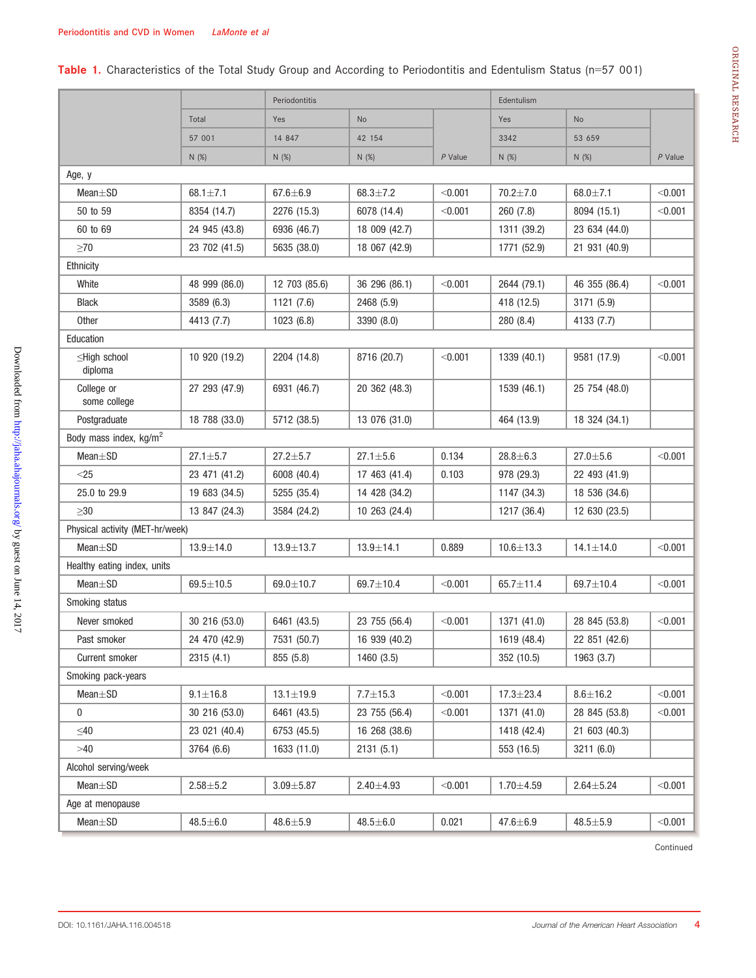# Table 1. Characteristics of the Total Study Group and According to Periodontitis and Edentulism Status (n=57 001)

|                                    |                 | Periodontitis   |                 | Edentulism |                 |                 |         |
|------------------------------------|-----------------|-----------------|-----------------|------------|-----------------|-----------------|---------|
|                                    | Total           | Yes             | <b>No</b>       |            | Yes             | No              |         |
|                                    | 57 001          | 14 847          | 42 154          |            | 3342            | 53 659          |         |
|                                    | N (%)           | N (%)           | N(%)            | P Value    | N(%)            | N (%)           | P Value |
| Age, y                             |                 |                 |                 |            |                 |                 |         |
| Mean±SD                            | $68.1 \pm 7.1$  | $67.6 \pm 6.9$  | $68.3 \pm 7.2$  | < 0.001    | $70.2 \pm 7.0$  | $68.0 \pm 7.1$  | < 0.001 |
| 50 to 59                           | 8354 (14.7)     | 2276 (15.3)     | 6078 (14.4)     | < 0.001    | 260 (7.8)       | 8094 (15.1)     | < 0.001 |
| 60 to 69                           | 24 945 (43.8)   | 6936 (46.7)     | 18 009 (42.7)   |            | 1311 (39.2)     | 23 634 (44.0)   |         |
| $\geq 70$                          | 23 702 (41.5)   | 5635 (38.0)     | 18 067 (42.9)   |            | 1771 (52.9)     | 21 931 (40.9)   |         |
| Ethnicity                          |                 |                 |                 |            |                 |                 |         |
| White                              | 48 999 (86.0)   | 12 703 (85.6)   | 36 296 (86.1)   | < 0.001    | 2644 (79.1)     | 46 355 (86.4)   | < 0.001 |
| <b>Black</b>                       | 3589 (6.3)      | 1121 (7.6)      | 2468 (5.9)      |            | 418 (12.5)      | 3171 (5.9)      |         |
| <b>Other</b>                       | 4413 (7.7)      | 1023(6.8)       | 3390 (8.0)      |            | 280 (8.4)       | 4133 (7.7)      |         |
| Education                          |                 |                 |                 |            |                 |                 |         |
| ≤High school<br>diploma            | 10 920 (19.2)   | 2204 (14.8)     | 8716 (20.7)     | < 0.001    | 1339 (40.1)     | 9581 (17.9)     | < 0.001 |
| College or<br>some college         | 27 293 (47.9)   | 6931 (46.7)     | 20 362 (48.3)   |            | 1539 (46.1)     | 25 754 (48.0)   |         |
| Postgraduate                       | 18 788 (33.0)   | 5712 (38.5)     | 13 076 (31.0)   |            | 464 (13.9)      | 18 324 (34.1)   |         |
| Body mass index, kg/m <sup>2</sup> |                 |                 |                 |            |                 |                 |         |
| $Mean \pm SD$                      | $27.1 \pm 5.7$  | $27.2 + 5.7$    | $27.1 \pm 5.6$  | 0.134      | $28.8 + 6.3$    | $27.0 + 5.6$    | < 0.001 |
| $<$ 25                             | 23 471 (41.2)   | 6008 (40.4)     | 17 463 (41.4)   | 0.103      | 978 (29.3)      | 22 493 (41.9)   |         |
| 25.0 to 29.9                       | 19 683 (34.5)   | 5255 (35.4)     | 14 428 (34.2)   |            | 1147 (34.3)     | 18 536 (34.6)   |         |
| $\geq 30$                          | 13 847 (24.3)   | 3584 (24.2)     | 10 263 (24.4)   |            | 1217 (36.4)     | 12 630 (23.5)   |         |
| Physical activity (MET-hr/week)    |                 |                 |                 |            |                 |                 |         |
| $Mean \pm SD$                      | $13.9 \pm 14.0$ | $13.9 \pm 13.7$ | $13.9 \pm 14.1$ | 0.889      | $10.6 \pm 13.3$ | $14.1 \pm 14.0$ | < 0.001 |
| Healthy eating index, units        |                 |                 |                 |            |                 |                 |         |
| $Mean \pm SD$                      | $69.5 \pm 10.5$ | $69.0 \pm 10.7$ | 69.7±10.4       | < 0.001    | $65.7 \pm 11.4$ | $69.7 \pm 10.4$ | < 0.001 |
| Smoking status                     |                 |                 |                 |            |                 |                 |         |
| Never smoked                       | 30 216 (53.0)   | 6461 (43.5)     | 23 755 (56.4)   | < 0.001    | 1371 (41.0)     | 28 845 (53.8)   | < 0.001 |
| Past smoker                        | 24 470 (42.9)   | 7531 (50.7)     | 16 939 (40.2)   |            | 1619 (48.4)     | 22 851 (42.6)   |         |
| Current smoker                     | 2315(4.1)       | 855(5.8)        | 1460(3.5)       |            | 352 (10.5)      | 1963 (3.7)      |         |
| Smoking pack-years                 |                 |                 |                 |            |                 |                 |         |
| Mean $\pm$ SD                      | $9.1 \pm 16.8$  | $13.1 \pm 19.9$ | $7.7 \pm 15.3$  | < 0.001    | $17.3 \pm 23.4$ | $8.6 \pm 16.2$  | < 0.001 |
| $\mathbf 0$                        | 30 216 (53.0)   | 6461 (43.5)     | 23 755 (56.4)   | < 0.001    | 1371 (41.0)     | 28 845 (53.8)   | < 0.001 |
| $\leq 40$                          | 23 021 (40.4)   | 6753 (45.5)     | 16 268 (38.6)   |            | 1418 (42.4)     | 21 603 (40.3)   |         |
| >40                                | 3764 (6.6)      | 1633 (11.0)     | 2131(5.1)       |            | 553 (16.5)      | 3211(6.0)       |         |
| Alcohol serving/week               |                 |                 |                 |            |                 |                 |         |
| $Mean \pm SD$                      | $2.58 + 5.2$    | $3.09 + 5.87$   | $2.40 + 4.93$   | < 0.001    | $1.70 + 4.59$   | $2.64 + 5.24$   | < 0.001 |
| Age at menopause                   |                 |                 |                 |            |                 |                 |         |
| $Mean \pm SD$                      | $48.5 \pm 6.0$  | $48.6 + 5.9$    | $48.5 \pm 6.0$  | 0.021      | $47.6 \pm 6.9$  | $48.5 \pm 5.9$  | < 0.001 |

Continued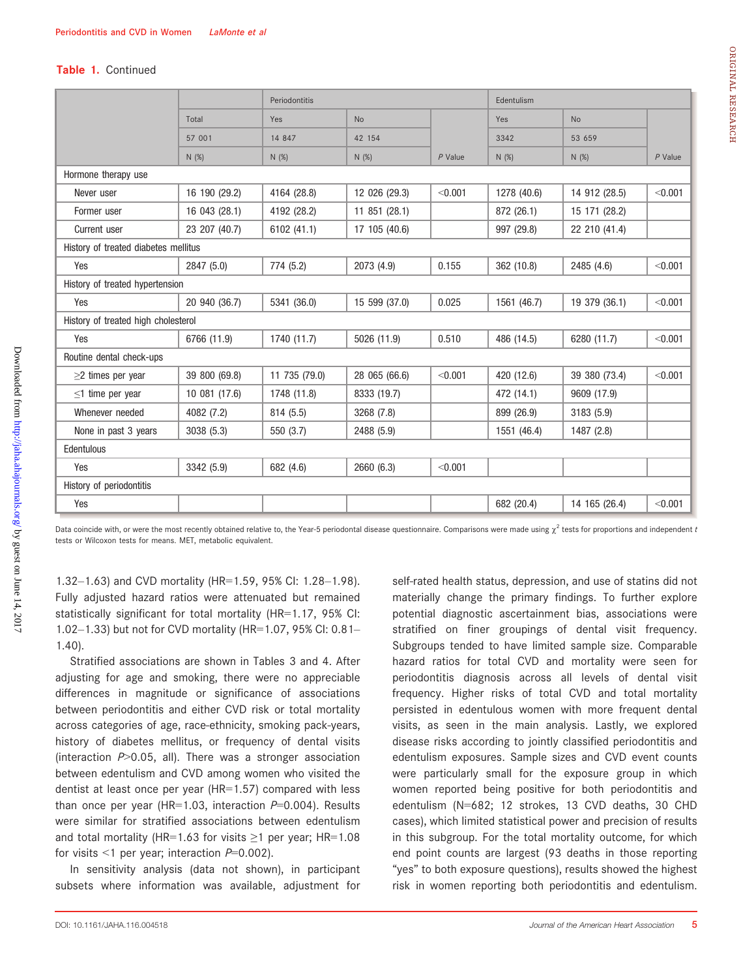#### Table 1. Continued

|                                      |               | Periodontitis |               |           | Edentulism  |               |           |
|--------------------------------------|---------------|---------------|---------------|-----------|-------------|---------------|-----------|
|                                      | Total         | Yes           | <b>No</b>     |           | Yes         | <b>No</b>     |           |
|                                      | 57 001        | 14 847        | 42 154        |           | 3342        | 53 659        |           |
|                                      | N(%)          | N(%)          | N(%)          | $P$ Value | N(%)        | N(%)          | $P$ Value |
| Hormone therapy use                  |               |               |               |           |             |               |           |
| Never user                           | 16 190 (29.2) | 4164 (28.8)   | 12 026 (29.3) | < 0.001   | 1278 (40.6) | 14 912 (28.5) | < 0.001   |
| Former user                          | 16 043 (28.1) | 4192 (28.2)   | 11 851 (28.1) |           | 872 (26.1)  | 15 171 (28.2) |           |
| Current user                         | 23 207 (40.7) | 6102 (41.1)   | 17 105 (40.6) |           | 997 (29.8)  | 22 210 (41.4) |           |
| History of treated diabetes mellitus |               |               |               |           |             |               |           |
| Yes                                  | 2847 (5.0)    | 774 (5.2)     | 2073 (4.9)    | 0.155     | 362 (10.8)  | 2485 (4.6)    | < 0.001   |
| History of treated hypertension      |               |               |               |           |             |               |           |
| Yes                                  | 20 940 (36.7) | 5341 (36.0)   | 15 599 (37.0) | 0.025     | 1561 (46.7) | 19 379 (36.1) | < 0.001   |
| History of treated high cholesterol  |               |               |               |           |             |               |           |
| Yes                                  | 6766 (11.9)   | 1740 (11.7)   | 5026 (11.9)   | 0.510     | 486 (14.5)  | 6280 (11.7)   | < 0.001   |
| Routine dental check-ups             |               |               |               |           |             |               |           |
| $\geq$ 2 times per year              | 39 800 (69.8) | 11 735 (79.0) | 28 065 (66.6) | < 0.001   | 420 (12.6)  | 39 380 (73.4) | < 0.001   |
| $\leq$ 1 time per year               | 10 081 (17.6) | 1748 (11.8)   | 8333 (19.7)   |           | 472 (14.1)  | 9609 (17.9)   |           |
| Whenever needed                      | 4082 (7.2)    | 814 (5.5)     | 3268 (7.8)    |           | 899 (26.9)  | 3183 (5.9)    |           |
| None in past 3 years                 | 3038 (5.3)    | 550 (3.7)     | 2488 (5.9)    |           | 1551 (46.4) | 1487 (2.8)    |           |
| Edentulous                           |               |               |               |           |             |               |           |
| Yes                                  | 3342 (5.9)    | 682 (4.6)     | 2660 (6.3)    | < 0.001   |             |               |           |
| History of periodontitis             |               |               |               |           |             |               |           |
| Yes                                  |               |               |               |           | 682 (20.4)  | 14 165 (26.4) | < 0.001   |

Data coincide with, or were the most recently obtained relative to, the Year-5 periodontal disease questionnaire. Comparisons were made using  $\chi^2$  tests for proportions and independent t tests or Wilcoxon tests for means. MET, metabolic equivalent.

1.32–1.63) and CVD mortality (HR=1.59, 95% CI: 1.28–1.98). Fully adjusted hazard ratios were attenuated but remained statistically significant for total mortality (HR=1.17, 95% CI: 1.02–1.33) but not for CVD mortality (HR=1.07, 95% CI: 0.81– 1.40).

Stratified associations are shown in Tables 3 and 4. After adjusting for age and smoking, there were no appreciable differences in magnitude or significance of associations between periodontitis and either CVD risk or total mortality across categories of age, race-ethnicity, smoking pack-years, history of diabetes mellitus, or frequency of dental visits (interaction  $P > 0.05$ , all). There was a stronger association between edentulism and CVD among women who visited the dentist at least once per year (HR=1.57) compared with less than once per year (HR=1.03, interaction  $P=0.004$ ). Results were similar for stratified associations between edentulism and total mortality (HR=1.63 for visits  $\geq$ 1 per year; HR=1.08 for visits  $\leq 1$  per year; interaction  $P=0.002$ ).

In sensitivity analysis (data not shown), in participant subsets where information was available, adjustment for

self-rated health status, depression, and use of statins did not materially change the primary findings. To further explore potential diagnostic ascertainment bias, associations were stratified on finer groupings of dental visit frequency. Subgroups tended to have limited sample size. Comparable hazard ratios for total CVD and mortality were seen for periodontitis diagnosis across all levels of dental visit frequency. Higher risks of total CVD and total mortality persisted in edentulous women with more frequent dental visits, as seen in the main analysis. Lastly, we explored disease risks according to jointly classified periodontitis and edentulism exposures. Sample sizes and CVD event counts were particularly small for the exposure group in which women reported being positive for both periodontitis and edentulism (N=682; 12 strokes, 13 CVD deaths, 30 CHD cases), which limited statistical power and precision of results in this subgroup. For the total mortality outcome, for which end point counts are largest (93 deaths in those reporting "yes" to both exposure questions), results showed the highest risk in women reporting both periodontitis and edentulism.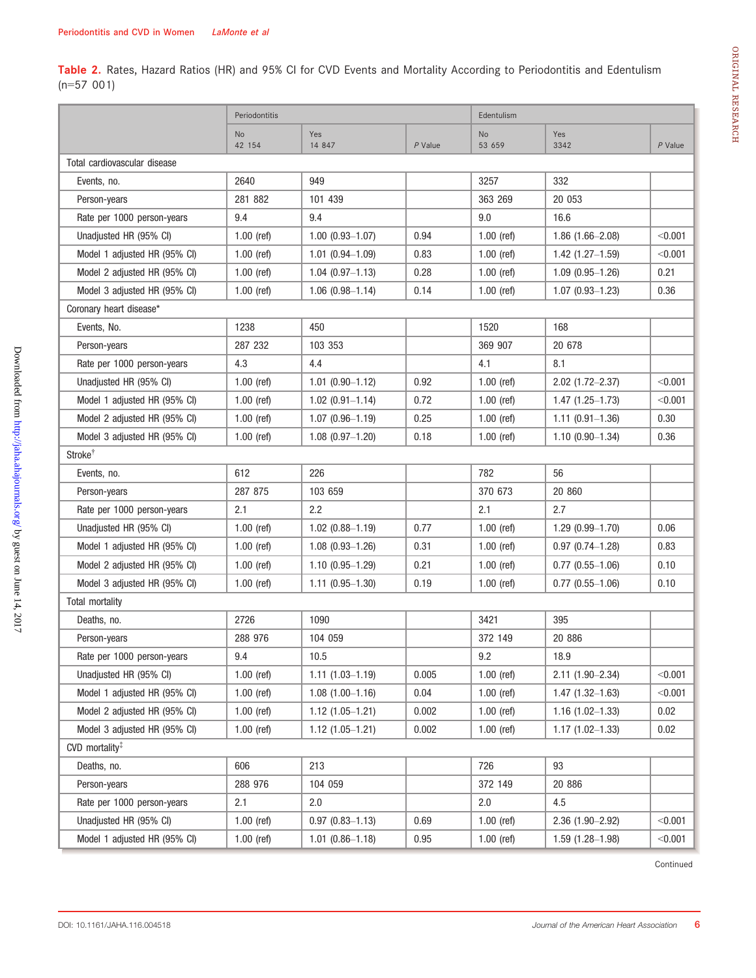Table 2. Rates, Hazard Ratios (HR) and 95% CI for CVD Events and Mortality According to Periodontitis and Edentulism (n=57 001)

|                                                                                          | Periodontitis |                        |       | Edentulism   |                        |         |  |
|------------------------------------------------------------------------------------------|---------------|------------------------|-------|--------------|------------------------|---------|--|
|                                                                                          | No            | Yes                    |       | <b>No</b>    | Yes                    |         |  |
| 3342<br>42 154<br>14 847<br>P Value<br>53 659<br>P Value<br>Total cardiovascular disease |               |                        |       |              |                        |         |  |
| Events, no.                                                                              | 2640          | 949                    |       | 3257         | 332                    |         |  |
| Person-years                                                                             | 281 882       | 101 439                |       | 363 269      | 20 053                 |         |  |
| Rate per 1000 person-years                                                               | 9.4           | 9.4                    |       | 9.0          | 16.6                   |         |  |
| Unadjusted HR (95% CI)                                                                   | $1.00$ (ref)  | $1.00(0.93 - 1.07)$    | 0.94  | $1.00$ (ref) | $1.86(1.66 - 2.08)$    | < 0.001 |  |
| Model 1 adjusted HR (95% CI)                                                             | $1.00$ (ref)  | $1.01(0.94 - 1.09)$    | 0.83  | $1.00$ (ref) | $1.42(1.27 - 1.59)$    | < 0.001 |  |
| Model 2 adjusted HR (95% CI)                                                             | $1.00$ (ref)  | $1.04(0.97 - 1.13)$    | 0.28  | $1.00$ (ref) | $1.09(0.95 - 1.26)$    | 0.21    |  |
| Model 3 adjusted HR (95% CI)                                                             | $1.00$ (ref)  | $1.06(0.98 - 1.14)$    | 0.14  | $1.00$ (ref) | $1.07(0.93 - 1.23)$    | 0.36    |  |
| Coronary heart disease*                                                                  |               |                        |       |              |                        |         |  |
| Events, No.                                                                              | 1238          | 450                    |       | 1520         | 168                    |         |  |
| Person-years                                                                             | 287 232       | 103 353                |       | 369 907      | 20 678                 |         |  |
| Rate per 1000 person-years                                                               | 4.3           | 4.4                    |       | 4.1          | 8.1                    |         |  |
| Unadjusted HR (95% CI)                                                                   | $1.00$ (ref)  | $1.01$ $(0.90 - 1.12)$ | 0.92  | $1.00$ (ref) | $2.02(1.72 - 2.37)$    | < 0.001 |  |
| Model 1 adjusted HR (95% CI)                                                             | $1.00$ (ref)  | $1.02$ (0.91-1.14)     | 0.72  | $1.00$ (ref) | $1.47(1.25 - 1.73)$    | < 0.001 |  |
| Model 2 adjusted HR (95% CI)                                                             | $1.00$ (ref)  | $1.07(0.96 - 1.19)$    | 0.25  | $1.00$ (ref) | $1.11(0.91 - 1.36)$    | 0.30    |  |
| Model 3 adjusted HR (95% CI)                                                             | $1.00$ (ref)  | $1.08$ $(0.97 - 1.20)$ | 0.18  | $1.00$ (ref) | $1.10(0.90 - 1.34)$    | 0.36    |  |
| Stroke <sup>†</sup>                                                                      |               |                        |       |              |                        |         |  |
| Events, no.                                                                              | 612           | 226                    |       | 782          | 56                     |         |  |
| Person-years                                                                             | 287 875       | 103 659                |       | 370 673      | 20 860                 |         |  |
| Rate per 1000 person-years                                                               | 2.1           | 2.2                    |       | 2.1          | 2.7                    |         |  |
| Unadjusted HR (95% CI)                                                                   | $1.00$ (ref)  | $1.02$ (0.88-1.19)     | 0.77  | $1.00$ (ref) | $1.29(0.99 - 1.70)$    | 0.06    |  |
| Model 1 adjusted HR (95% CI)                                                             | $1.00$ (ref)  | $1.08(0.93 - 1.26)$    | 0.31  | $1.00$ (ref) | $0.97(0.74 - 1.28)$    | 0.83    |  |
| Model 2 adjusted HR (95% CI)                                                             | $1.00$ (ref)  | $1.10(0.95 - 1.29)$    | 0.21  | $1.00$ (ref) | $0.77$ $(0.55-1.06)$   | 0.10    |  |
| Model 3 adjusted HR (95% CI)                                                             | $1.00$ (ref)  | $1.11(0.95 - 1.30)$    | 0.19  | $1.00$ (ref) | $0.77$ $(0.55 - 1.06)$ | 0.10    |  |
| Total mortality                                                                          |               |                        |       |              |                        |         |  |
| Deaths, no.                                                                              | 2726          | 1090                   |       | 3421         | 395                    |         |  |
| Person-years                                                                             | 288 976       | 104 059                |       | 372 149      | 20 886                 |         |  |
| Rate per 1000 person-years                                                               | 9.4           | 10.5                   |       | 9.2          | 18.9                   |         |  |
| Unadiusted HR (95% CI)                                                                   | $1.00$ (ref)  | $1.11(1.03 - 1.19)$    | 0.005 | $1.00$ (ref) | $2.11(1.90 - 2.34)$    | < 0.001 |  |
| Model 1 adjusted HR (95% CI)                                                             | $1.00$ (ref)  | $1.08(1.00 - 1.16)$    | 0.04  | $1.00$ (ref) | $1.47(1.32 - 1.63)$    | < 0.001 |  |
| Model 2 adjusted HR (95% CI)                                                             | $1.00$ (ref)  | $1.12(1.05 - 1.21)$    | 0.002 | $1.00$ (ref) | $1.16(1.02 - 1.33)$    | 0.02    |  |
| Model 3 adjusted HR (95% CI)                                                             | $1.00$ (ref)  | $1.12(1.05 - 1.21)$    | 0.002 | $1.00$ (ref) | $1.17(1.02 - 1.33)$    | 0.02    |  |
| CVD mortality $*$                                                                        |               |                        |       |              |                        |         |  |
| Deaths, no.                                                                              | 606           | 213                    |       | 726          | 93                     |         |  |
| Person-years                                                                             | 288 976       | 104 059                |       | 372 149      | 20 886                 |         |  |
| Rate per 1000 person-years                                                               | 2.1           | 2.0                    |       | 2.0          | 4.5                    |         |  |
| Unadjusted HR (95% CI)                                                                   | $1.00$ (ref)  | $0.97(0.83 - 1.13)$    | 0.69  | $1.00$ (ref) | $2.36(1.90 - 2.92)$    | < 0.001 |  |
| Model 1 adjusted HR (95% CI)                                                             | $1.00$ (ref)  | $1.01$ $(0.86 - 1.18)$ | 0.95  | $1.00$ (ref) | $1.59(1.28 - 1.98)$    | < 0.001 |  |

Continued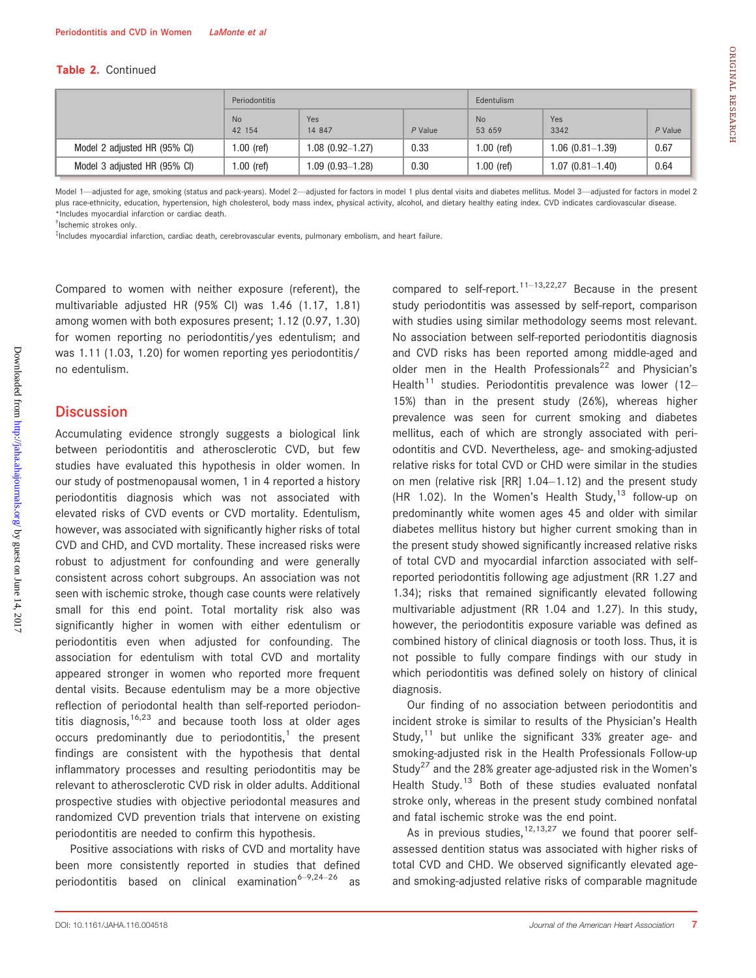#### Table 2. Continued

|                              | Periodontitis       |                     | Edentulism |                     |                     |           |
|------------------------------|---------------------|---------------------|------------|---------------------|---------------------|-----------|
|                              | <b>No</b><br>42 154 | Yes<br>14 847       | $P$ Value  | <b>No</b><br>53 659 | Yes<br>3342         | $P$ Value |
| Model 2 adjusted HR (95% CI) | $.00$ (ref)         | $1.08(0.92 - 1.27)$ | 0.33       | $.00$ (ref)         | $1.06(0.81 - 1.39)$ | 0.67      |
| Model 3 adjusted HR (95% CI) | $.00$ (ref)         | 1.09 (0.93–1.28)    | 0.30       | $.00$ (ref)         | $1.07(0.81 - 1.40)$ | 0.64      |

Model 1—adjusted for age, smoking (status and pack-years). Model 2—adjusted for factors in model 1 plus dental visits and diabetes mellitus. Model 3—adjusted for factors in model 2 plus race-ethnicity, education, hypertension, high cholesterol, body mass index, physical activity, alcohol, and dietary healthy eating index. CVD indicates cardiovascular disease. \*Includes myocardial infarction or cardiac death.

† Ischemic strokes only.

‡ Includes myocardial infarction, cardiac death, cerebrovascular events, pulmonary embolism, and heart failure.

Compared to women with neither exposure (referent), the multivariable adjusted HR (95% CI) was 1.46 (1.17, 1.81) among women with both exposures present; 1.12 (0.97, 1.30) for women reporting no periodontitis/yes edentulism; and was 1.11 (1.03, 1.20) for women reporting yes periodontitis/ no edentulism.

#### **Discussion**

Accumulating evidence strongly suggests a biological link between periodontitis and atherosclerotic CVD, but few studies have evaluated this hypothesis in older women. In our study of postmenopausal women, 1 in 4 reported a history periodontitis diagnosis which was not associated with elevated risks of CVD events or CVD mortality. Edentulism, however, was associated with significantly higher risks of total CVD and CHD, and CVD mortality. These increased risks were robust to adjustment for confounding and were generally consistent across cohort subgroups. An association was not seen with ischemic stroke, though case counts were relatively small for this end point. Total mortality risk also was significantly higher in women with either edentulism or periodontitis even when adjusted for confounding. The association for edentulism with total CVD and mortality appeared stronger in women who reported more frequent dental visits. Because edentulism may be a more objective reflection of periodontal health than self-reported periodontitis diagnosis,  $16,23$  and because tooth loss at older ages occurs predominantly due to periodontitis, $<sup>1</sup>$  the present</sup> findings are consistent with the hypothesis that dental inflammatory processes and resulting periodontitis may be relevant to atherosclerotic CVD risk in older adults. Additional prospective studies with objective periodontal measures and randomized CVD prevention trials that intervene on existing periodontitis are needed to confirm this hypothesis.

Positive associations with risks of CVD and mortality have been more consistently reported in studies that defined periodontitis based on clinical examination<sup>6-9,24-26</sup> as

compared to self-report.<sup>11–13,22,27</sup> Because in the present study periodontitis was assessed by self-report, comparison with studies using similar methodology seems most relevant. No association between self-reported periodontitis diagnosis and CVD risks has been reported among middle-aged and older men in the Health Professionals<sup>22</sup> and Physician's Health<sup>11</sup> studies. Periodontitis prevalence was lower (12– 15%) than in the present study (26%), whereas higher prevalence was seen for current smoking and diabetes mellitus, each of which are strongly associated with periodontitis and CVD. Nevertheless, age- and smoking-adjusted relative risks for total CVD or CHD were similar in the studies on men (relative risk [RR] 1.04–1.12) and the present study (HR 1.02). In the Women's Health Study,  $13$  follow-up on predominantly white women ages 45 and older with similar diabetes mellitus history but higher current smoking than in the present study showed significantly increased relative risks of total CVD and myocardial infarction associated with selfreported periodontitis following age adjustment (RR 1.27 and 1.34); risks that remained significantly elevated following multivariable adjustment (RR 1.04 and 1.27). In this study, however, the periodontitis exposure variable was defined as combined history of clinical diagnosis or tooth loss. Thus, it is not possible to fully compare findings with our study in which periodontitis was defined solely on history of clinical diagnosis.

Our finding of no association between periodontitis and incident stroke is similar to results of the Physician's Health Study,<sup>11</sup> but unlike the significant 33% greater age- and smoking-adjusted risk in the Health Professionals Follow-up Study<sup>27</sup> and the 28% greater age-adjusted risk in the Women's Health Study.<sup>13</sup> Both of these studies evaluated nonfatal stroke only, whereas in the present study combined nonfatal and fatal ischemic stroke was the end point.

As in previous studies,  $12,13,27$  we found that poorer selfassessed dentition status was associated with higher risks of total CVD and CHD. We observed significantly elevated ageand smoking-adjusted relative risks of comparable magnitude

ORIGINAL

RESEARCH

ORIGINAL RESEARCH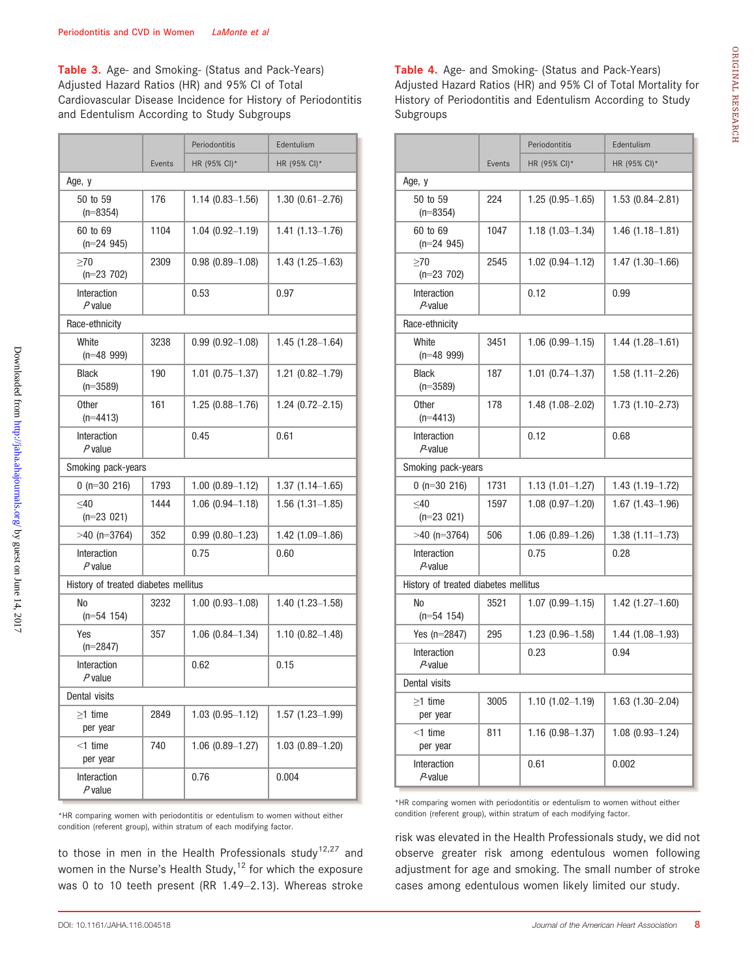Table 3. Age- and Smoking- (Status and Pack-Years) Adjusted Hazard Ratios (HR) and 95% CI of Total Cardiovascular Disease Incidence for History of Periodontitis and Edentulism According to Study Subgroups

|                                      |        | Periodontitis          | Edentulism          |  |  |  |
|--------------------------------------|--------|------------------------|---------------------|--|--|--|
|                                      | Events | HR (95% CI)*           | HR (95% CI)*        |  |  |  |
| Age, y                               |        |                        |                     |  |  |  |
| 50 to 59<br>$(n=8354)$               | 176    | $1.14(0.83 - 1.56)$    | $1.30(0.61 - 2.76)$ |  |  |  |
| 60 to 69<br>$(n=24945)$              | 1104   | $1.04(0.92 - 1.19)$    | $1.41(1.13 - 1.76)$ |  |  |  |
| >70<br>$(n=23 702)$                  | 2309   | $0.98(0.89 - 1.08)$    | 1.43 (1.25–1.63)    |  |  |  |
| Interaction<br>$P$ value             |        | 0.53                   | 0.97                |  |  |  |
| Race-ethnicity                       |        |                        |                     |  |  |  |
| White<br>$(n=48999)$                 | 3238   | $0.99(0.92 - 1.08)$    | 1.45 (1.28–1.64)    |  |  |  |
| <b>Black</b><br>$(n=3589)$           | 190    | $1.01$ $(0.75 - 1.37)$ | $1.21(0.82 - 1.79)$ |  |  |  |
| <b>Other</b><br>$(n=4413)$           | 161    | $1.25(0.88 - 1.76)$    | $1.24(0.72 - 2.15)$ |  |  |  |
| Interaction<br>$P$ value             |        | 0.45                   | 0.61                |  |  |  |
| Smoking pack-years                   |        |                        |                     |  |  |  |
| 0 $(n=30 216)$                       | 1793   | $1.00(0.89 - 1.12)$    | $1.37(1.14-1.65)$   |  |  |  |
| $<$ 40<br>$(n=23 021)$               | 1444   | $1.06(0.94 - 1.18)$    | $1.56(1.31-1.85)$   |  |  |  |
| $>40$ (n=3764)                       | 352    | $0.99(0.80 - 1.23)$    | $1.42(1.09-1.86)$   |  |  |  |
| Interaction<br>$P$ value             |        | 0.75                   | 0.60                |  |  |  |
| History of treated diabetes mellitus |        |                        |                     |  |  |  |
| No<br>$(n=54$ 154)                   | 3232   | $1.00(0.93 - 1.08)$    | $1.40(1.23 - 1.58)$ |  |  |  |
| Yes<br>$(n=2847)$                    | 357    | $1.06(0.84 - 1.34)$    | $1.10(0.82 - 1.48)$ |  |  |  |
| Interaction<br>$P$ value             |        | 0.62                   | 0.15                |  |  |  |
| Dental visits                        |        |                        |                     |  |  |  |
| $\geq$ 1 time<br>per year            | 2849   | $1.03(0.95 - 1.12)$    | $1.57(1.23 - 1.99)$ |  |  |  |
| $<$ 1 time<br>per year               | 740    | $1.06(0.89 - 1.27)$    | $1.03(0.89 - 1.20)$ |  |  |  |
| Interaction<br>$P$ value             |        | 0.76                   | 0.004               |  |  |  |

\*HR comparing women with periodontitis or edentulism to women without either condition (referent group), within stratum of each modifying factor.

to those in men in the Health Professionals study<sup>12,27</sup> and women in the Nurse's Health Study,<sup>12</sup> for which the exposure was 0 to 10 teeth present (RR 1.49–2.13). Whereas stroke Table 4. Age- and Smoking- (Status and Pack-Years) Adjusted Hazard Ratios (HR) and 95% CI of Total Mortality for History of Periodontitis and Edentulism According to Study Subgroups

|                                      |        | Periodontitis          | Edentulism          |  |  |  |  |
|--------------------------------------|--------|------------------------|---------------------|--|--|--|--|
|                                      | Events | HR (95% CI)*           | HR (95% CI)*        |  |  |  |  |
| Age, y                               |        |                        |                     |  |  |  |  |
| 50 to 59<br>$(n=8354)$               | 224    | $1.25(0.95 - 1.65)$    | 1.53 (0.84–2.81)    |  |  |  |  |
| 60 to 69<br>$(n=24945)$              | 1047   | $1.18(1.03 - 1.34)$    | 1.46 (1.18–1.81)    |  |  |  |  |
| >70<br>$(n=23 702)$                  | 2545   | $1.02(0.94 - 1.12)$    | $1.47(1.30-1.66)$   |  |  |  |  |
| Interaction<br>P-value               |        | 0.12                   | 0.99                |  |  |  |  |
| Race-ethnicity                       |        |                        |                     |  |  |  |  |
| White<br>$(n=48999)$                 | 3451   | $1.06$ $(0.99 - 1.15)$ | $1.44(1.28 - 1.61)$ |  |  |  |  |
| <b>Black</b><br>$(n=3589)$           | 187    | $1.01$ $(0.74 - 1.37)$ | $1.58(1.11 - 2.26)$ |  |  |  |  |
| <b>Other</b><br>$(n=4413)$           | 178    | $1.48(1.08 - 2.02)$    | $1.73(1.10-2.73)$   |  |  |  |  |
| Interaction<br>P-value               |        | 0.12                   | 0.68                |  |  |  |  |
| Smoking pack-years                   |        |                        |                     |  |  |  |  |
| 0 $(n=30 216)$                       | 1731   | $1.13(1.01 - 1.27)$    | $1.43(1.19 - 1.72)$ |  |  |  |  |
| $<$ 40<br>$(n=23 021)$               | 1597   | $1.08$ $(0.97 - 1.20)$ | 1.67 (1.43-1.96)    |  |  |  |  |
| $>40$ (n=3764)                       | 506    | $1.06(0.89-1.26)$      | $1.38(1.11 - 1.73)$ |  |  |  |  |
| Interaction<br>P-value               |        | 0.75                   | 0.28                |  |  |  |  |
| History of treated diabetes mellitus |        |                        |                     |  |  |  |  |
| No<br>$(n=54$ 154)                   | 3521   | $1.07(0.99 - 1.15)$    | $1.42(1.27-1.60)$   |  |  |  |  |
| Yes (n=2847)                         | 295    | $1.23(0.96-1.58)$      | $1.44(1.08-1.93)$   |  |  |  |  |
| Interaction<br>P-value               |        | 0.23                   | 0.94                |  |  |  |  |
| Dental visits                        |        |                        |                     |  |  |  |  |
| $\geq$ 1 time<br>per year            | 3005   | $1.10(1.02 - 1.19)$    | $1.63(1.30 - 2.04)$ |  |  |  |  |
| $<$ 1 time<br>per year               | 811    | $1.16(0.98 - 1.37)$    | $1.08(0.93 - 1.24)$ |  |  |  |  |
| Interaction<br>P-value               |        | 0.61                   | 0.002               |  |  |  |  |

\*HR comparing women with periodontitis or edentulism to women without either condition (referent group), within stratum of each modifying factor.

risk was elevated in the Health Professionals study, we did not observe greater risk among edentulous women following adjustment for age and smoking. The small number of stroke cases among edentulous women likely limited our study.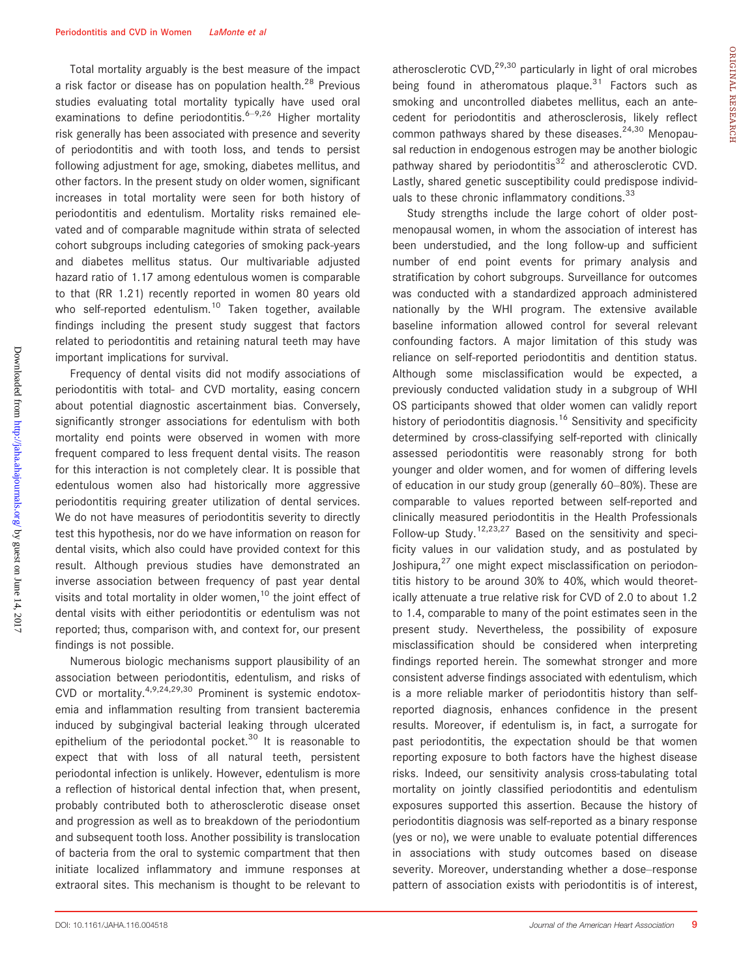Total mortality arguably is the best measure of the impact a risk factor or disease has on population health.<sup>28</sup> Previous studies evaluating total mortality typically have used oral examinations to define periodontitis. $6-9.26$  Higher mortality risk generally has been associated with presence and severity of periodontitis and with tooth loss, and tends to persist following adjustment for age, smoking, diabetes mellitus, and other factors. In the present study on older women, significant increases in total mortality were seen for both history of periodontitis and edentulism. Mortality risks remained elevated and of comparable magnitude within strata of selected cohort subgroups including categories of smoking pack-years and diabetes mellitus status. Our multivariable adjusted hazard ratio of 1.17 among edentulous women is comparable to that (RR 1.21) recently reported in women 80 years old who self-reported edentulism.<sup>10</sup> Taken together, available findings including the present study suggest that factors related to periodontitis and retaining natural teeth may have important implications for survival.

Frequency of dental visits did not modify associations of periodontitis with total- and CVD mortality, easing concern about potential diagnostic ascertainment bias. Conversely, significantly stronger associations for edentulism with both mortality end points were observed in women with more frequent compared to less frequent dental visits. The reason for this interaction is not completely clear. It is possible that edentulous women also had historically more aggressive periodontitis requiring greater utilization of dental services. We do not have measures of periodontitis severity to directly test this hypothesis, nor do we have information on reason for dental visits, which also could have provided context for this result. Although previous studies have demonstrated an inverse association between frequency of past year dental visits and total mortality in older women,<sup>10</sup> the joint effect of dental visits with either periodontitis or edentulism was not reported; thus, comparison with, and context for, our present findings is not possible.

Numerous biologic mechanisms support plausibility of an association between periodontitis, edentulism, and risks of CVD or mortality.<sup>4,9,24,29,30</sup> Prominent is systemic endotoxemia and inflammation resulting from transient bacteremia induced by subgingival bacterial leaking through ulcerated epithelium of the periodontal pocket.<sup>30</sup> It is reasonable to expect that with loss of all natural teeth, persistent periodontal infection is unlikely. However, edentulism is more a reflection of historical dental infection that, when present, probably contributed both to atherosclerotic disease onset and progression as well as to breakdown of the periodontium and subsequent tooth loss. Another possibility is translocation of bacteria from the oral to systemic compartment that then initiate localized inflammatory and immune responses at extraoral sites. This mechanism is thought to be relevant to

atherosclerotic CVD, $^{29,30}$  particularly in light of oral microbes being found in atheromatous plaque. $31$  Factors such as smoking and uncontrolled diabetes mellitus, each an antecedent for periodontitis and atherosclerosis, likely reflect common pathways shared by these diseases. $24,30$  Menopausal reduction in endogenous estrogen may be another biologic pathway shared by periodontitis<sup>32</sup> and atherosclerotic CVD. Lastly, shared genetic susceptibility could predispose individuals to these chronic inflammatory conditions.<sup>33</sup>

Study strengths include the large cohort of older postmenopausal women, in whom the association of interest has been understudied, and the long follow-up and sufficient number of end point events for primary analysis and stratification by cohort subgroups. Surveillance for outcomes was conducted with a standardized approach administered nationally by the WHI program. The extensive available baseline information allowed control for several relevant confounding factors. A major limitation of this study was reliance on self-reported periodontitis and dentition status. Although some misclassification would be expected, a previously conducted validation study in a subgroup of WHI OS participants showed that older women can validly report history of periodontitis diagnosis.<sup>16</sup> Sensitivity and specificity determined by cross-classifying self-reported with clinically assessed periodontitis were reasonably strong for both younger and older women, and for women of differing levels of education in our study group (generally 60–80%). These are comparable to values reported between self-reported and clinically measured periodontitis in the Health Professionals Follow-up Study.<sup>12,23,27</sup> Based on the sensitivity and specificity values in our validation study, and as postulated by Joshipura,<sup>27</sup> one might expect misclassification on periodontitis history to be around 30% to 40%, which would theoretically attenuate a true relative risk for CVD of 2.0 to about 1.2 to 1.4, comparable to many of the point estimates seen in the present study. Nevertheless, the possibility of exposure misclassification should be considered when interpreting findings reported herein. The somewhat stronger and more consistent adverse findings associated with edentulism, which is a more reliable marker of periodontitis history than selfreported diagnosis, enhances confidence in the present results. Moreover, if edentulism is, in fact, a surrogate for past periodontitis, the expectation should be that women reporting exposure to both factors have the highest disease risks. Indeed, our sensitivity analysis cross-tabulating total mortality on jointly classified periodontitis and edentulism exposures supported this assertion. Because the history of periodontitis diagnosis was self-reported as a binary response (yes or no), we were unable to evaluate potential differences in associations with study outcomes based on disease severity. Moreover, understanding whether a dose–response pattern of association exists with periodontitis is of interest,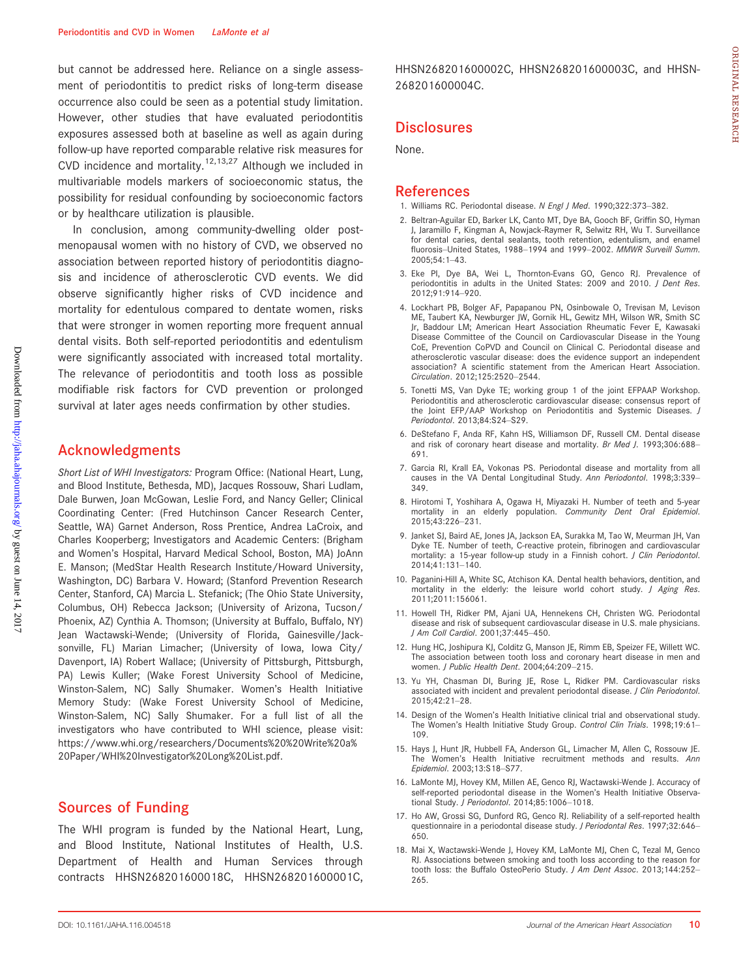but cannot be addressed here. Reliance on a single assessment of periodontitis to predict risks of long-term disease occurrence also could be seen as a potential study limitation. However, other studies that have evaluated periodontitis exposures assessed both at baseline as well as again during follow-up have reported comparable relative risk measures for CVD incidence and mortality.<sup>12,13,27</sup> Although we included in multivariable models markers of socioeconomic status, the possibility for residual confounding by socioeconomic factors or by healthcare utilization is plausible.

In conclusion, among community-dwelling older postmenopausal women with no history of CVD, we observed no association between reported history of periodontitis diagnosis and incidence of atherosclerotic CVD events. We did observe significantly higher risks of CVD incidence and mortality for edentulous compared to dentate women, risks that were stronger in women reporting more frequent annual dental visits. Both self-reported periodontitis and edentulism were significantly associated with increased total mortality. The relevance of periodontitis and tooth loss as possible modifiable risk factors for CVD prevention or prolonged survival at later ages needs confirmation by other studies.

### Acknowledgments

Short List of WHI Investigators: Program Office: (National Heart, Lung, and Blood Institute, Bethesda, MD), Jacques Rossouw, Shari Ludlam, Dale Burwen, Joan McGowan, Leslie Ford, and Nancy Geller; Clinical Coordinating Center: (Fred Hutchinson Cancer Research Center, Seattle, WA) Garnet Anderson, Ross Prentice, Andrea LaCroix, and Charles Kooperberg; Investigators and Academic Centers: (Brigham and Women's Hospital, Harvard Medical School, Boston, MA) JoAnn E. Manson; (MedStar Health Research Institute/Howard University, Washington, DC) Barbara V. Howard; (Stanford Prevention Research Center, Stanford, CA) Marcia L. Stefanick; (The Ohio State University, Columbus, OH) Rebecca Jackson; (University of Arizona, Tucson/ Phoenix, AZ) Cynthia A. Thomson; (University at Buffalo, Buffalo, NY) Jean Wactawski-Wende; (University of Florida, Gainesville/Jacksonville, FL) Marian Limacher; (University of Iowa, Iowa City/ Davenport, IA) Robert Wallace; (University of Pittsburgh, Pittsburgh, PA) Lewis Kuller; (Wake Forest University School of Medicine, Winston-Salem, NC) Sally Shumaker. Women's Health Initiative Memory Study: (Wake Forest University School of Medicine, Winston-Salem, NC) Sally Shumaker. For a full list of all the investigators who have contributed to WHI science, please visit: [https://www.whi.org/researchers/Documents%20%20Write%20a%](https://www.whi.org/researchers/Documents%20%20Write%20a%20Paper/WHI%20Investigator%20Long%20List.pdf) [20Paper/WHI%20Investigator%20Long%20List.pdf.](https://www.whi.org/researchers/Documents%20%20Write%20a%20Paper/WHI%20Investigator%20Long%20List.pdf)

#### Sources of Funding

The WHI program is funded by the National Heart, Lung, and Blood Institute, National Institutes of Health, U.S. Department of Health and Human Services through contracts HHSN268201600018C, HHSN268201600001C,

HHSN268201600002C, HHSN268201600003C, and HHSN-268201600004C.

#### **Disclosures**

None.

#### References

- 1. Williams RC. Periodontal disease. N Engl J Med. 1990;322:373–382.
- 2. Beltran-Aguilar ED, Barker LK, Canto MT, Dye BA, Gooch BF, Griffin SO, Hyman J, Jaramillo F, Kingman A, Nowjack-Raymer R, Selwitz RH, Wu T. Surveillance for dental caries, dental sealants, tooth retention, edentulism, and enamel fluorosis–United States, 1988–1994 and 1999–2002. MMWR Surveill Summ. 2005;54:1–43.
- 3. Eke PI, Dye BA, Wei L, Thornton-Evans GO, Genco RJ. Prevalence of periodontitis in adults in the United States: 2009 and 2010. J Dent Res. 2012;91:914–920.
- 4. Lockhart PB, Bolger AF, Papapanou PN, Osinbowale O, Trevisan M, Levison ME, Taubert KA, Newburger JW, Gornik HL, Gewitz MH, Wilson WR, Smith SC Jr, Baddour LM; American Heart Association Rheumatic Fever E, Kawasaki Disease Committee of the Council on Cardiovascular Disease in the Young CoE, Prevention CoPVD and Council on Clinical C. Periodontal disease and atherosclerotic vascular disease: does the evidence support an independent association? A scientific statement from the American Heart Association. Circulation. 2012;125:2520–2544.
- 5. Tonetti MS, Van Dyke TE; working group 1 of the joint EFPAAP Workshop. Periodontitis and atherosclerotic cardiovascular disease: consensus report of the Joint EFP/AAP Workshop on Periodontitis and Systemic Diseases. J Periodontol. 2013;84:S24–S29.
- 6. DeStefano F, Anda RF, Kahn HS, Williamson DF, Russell CM. Dental disease and risk of coronary heart disease and mortality. Br Med J. 1993;306:688– 691.
- 7. Garcia RI, Krall EA, Vokonas PS. Periodontal disease and mortality from all causes in the VA Dental Longitudinal Study. Ann Periodontol. 1998;3:339– 349.
- 8. Hirotomi T, Yoshihara A, Ogawa H, Miyazaki H. Number of teeth and 5-year mortality in an elderly population. Community Dent Oral Epidemiol. 2015;43:226–231.
- 9. Janket SJ, Baird AE, Jones JA, Jackson EA, Surakka M, Tao W, Meurman JH, Van Dyke TE. Number of teeth, C-reactive protein, fibrinogen and cardiovascular mortality: a 15-year follow-up study in a Finnish cohort. J Clin Periodontol. 2014;41:131–140.
- 10. Paganini-Hill A, White SC, Atchison KA. Dental health behaviors, dentition, and mortality in the elderly: the leisure world cohort study. J Aging Res. 2011;2011:156061.
- 11. Howell TH, Ridker PM, Ajani UA, Hennekens CH, Christen WG. Periodontal disease and risk of subsequent cardiovascular disease in U.S. male physicians. J Am Coll Cardiol. 2001;37:445–450.
- 12. Hung HC, Joshipura KJ, Colditz G, Manson JE, Rimm EB, Speizer FE, Willett WC. The association between tooth loss and coronary heart disease in men and women. J Public Health Dent. 2004;64:209–215.
- 13. Yu YH, Chasman DI, Buring JE, Rose L, Ridker PM. Cardiovascular risks associated with incident and prevalent periodontal disease. J Clin Periodontol. 2015;42:21–28.
- 14. Design of the Women's Health Initiative clinical trial and observational study. The Women's Health Initiative Study Group. Control Clin Trials. 1998;19:61-109.
- 15. Hays J, Hunt JR, Hubbell FA, Anderson GL, Limacher M, Allen C, Rossouw JE. The Women's Health Initiative recruitment methods and results. Ann Epidemiol. 2003;13:S18–S77.
- 16. LaMonte MJ, Hovey KM, Millen AE, Genco RJ, Wactawski-Wende J. Accuracy of self-reported periodontal disease in the Women's Health Initiative Observational Study. J Periodontol. 2014;85:1006–1018.
- 17. Ho AW, Grossi SG, Dunford RG, Genco RJ. Reliability of a self-reported health questionnaire in a periodontal disease study. J Periodontal Res. 1997;32:646– 650.
- 18. Mai X, Wactawski-Wende J, Hovey KM, LaMonte MJ, Chen C, Tezal M, Genco RJ. Associations between smoking and tooth loss according to the reason for tooth loss: the Buffalo OsteoPerio Study. J Am Dent Assoc. 2013;144:252-265.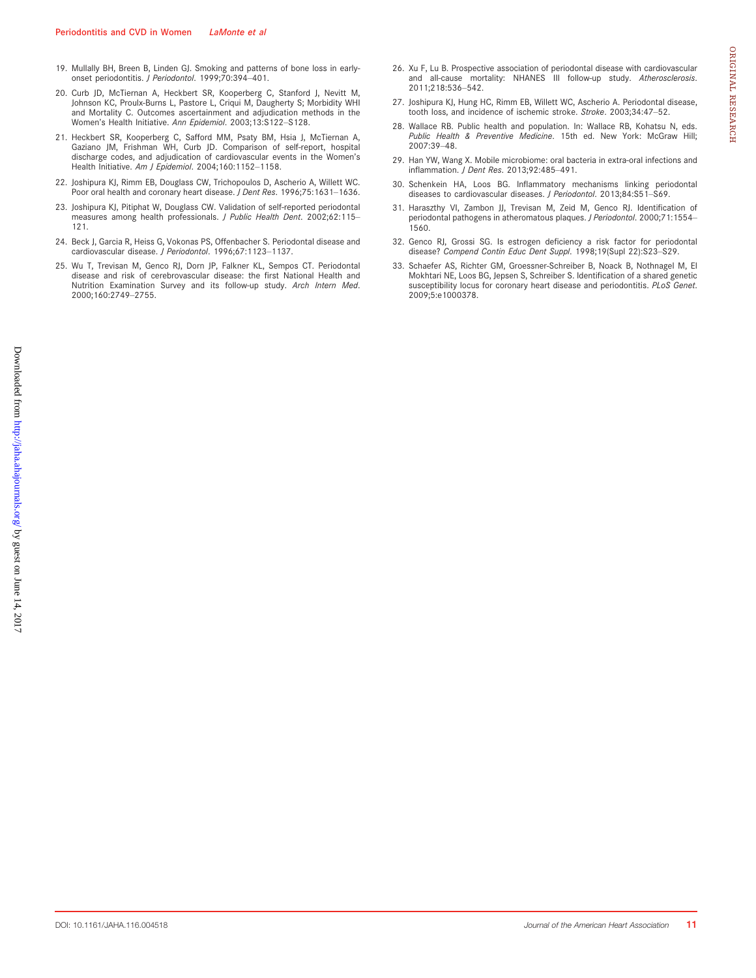- 19. Mullally BH, Breen B, Linden GJ. Smoking and patterns of bone loss in earlyonset periodontitis. J Periodontol. 1999;70:394–401.
- 20. Curb JD, McTiernan A, Heckbert SR, Kooperberg C, Stanford J, Nevitt M, Johnson KC, Proulx-Burns L, Pastore L, Criqui M, Daugherty S; Morbidity WHI and Mortality C. Outcomes ascertainment and adjudication methods in the Women's Health Initiative. Ann Epidemiol. 2003;13:S122–S128.
- 21. Heckbert SR, Kooperberg C, Safford MM, Psaty BM, Hsia J, McTiernan A, Gaziano JM, Frishman WH, Curb JD. Comparison of self-report, hospital discharge codes, and adjudication of cardiovascular events in the Women's Health Initiative. Am J Epidemiol. 2004;160:1152–1158.
- 22. Joshipura KJ, Rimm EB, Douglass CW, Trichopoulos D, Ascherio A, Willett WC. Poor oral health and coronary heart disease. J Dent Res. 1996;75:1631-1636.
- 23. Joshipura KJ, Pitiphat W, Douglass CW. Validation of self-reported periodontal measures among health professionals. J Public Health Dent. 2002;62:115– 121.
- 24. Beck J, Garcia R, Heiss G, Vokonas PS, Offenbacher S. Periodontal disease and cardiovascular disease. J Periodontol. 1996;67:1123–1137.
- 25. Wu T, Trevisan M, Genco RJ, Dorn JP, Falkner KL, Sempos CT. Periodontal disease and risk of cerebrovascular disease: the first National Health and Nutrition Examination Survey and its follow-up study. Arch Intern Med. 2000;160:2749–2755.
- 26. Xu F, Lu B. Prospective association of periodontal disease with cardiovascular and all-cause mortality: NHANES III follow-up study. Atherosclerosis. 2011;218:536–542.
- 27. Joshipura KJ, Hung HC, Rimm EB, Willett WC, Ascherio A. Periodontal disease, tooth loss, and incidence of ischemic stroke. Stroke. 2003;34:47–52.
- 28. Wallace RB. Public health and population. In: Wallace RB, Kohatsu N, eds. Public Health & Preventive Medicine. 15th ed. New York: McGraw Hill; 2007:39–48.
- 29. Han YW, Wang X. Mobile microbiome: oral bacteria in extra-oral infections and inflammation. J Dent Res. 2013;92:485–491.
- 30. Schenkein HA, Loos BG. Inflammatory mechanisms linking periodontal diseases to cardiovascular diseases. J Periodontol. 2013;84:S51–S69.
- 31. Haraszthy VI, Zambon JJ, Trevisan M, Zeid M, Genco RJ. Identification of periodontal pathogens in atheromatous plaques. J Periodontol. 2000;71:1554– 1560.
- 32. Genco RJ, Grossi SG. Is estrogen deficiency a risk factor for periodontal disease? Compend Contin Educ Dent Suppl. 1998;19(Supl 22):S23–S29.
- 33. Schaefer AS, Richter GM, Groessner-Schreiber B, Noack B, Nothnagel M, El Mokhtari NE, Loos BG, Jepsen S, Schreiber S. Identification of a shared genetic susceptibility locus for coronary heart disease and periodontitis. PLoS Genet. 2009;5:e1000378.